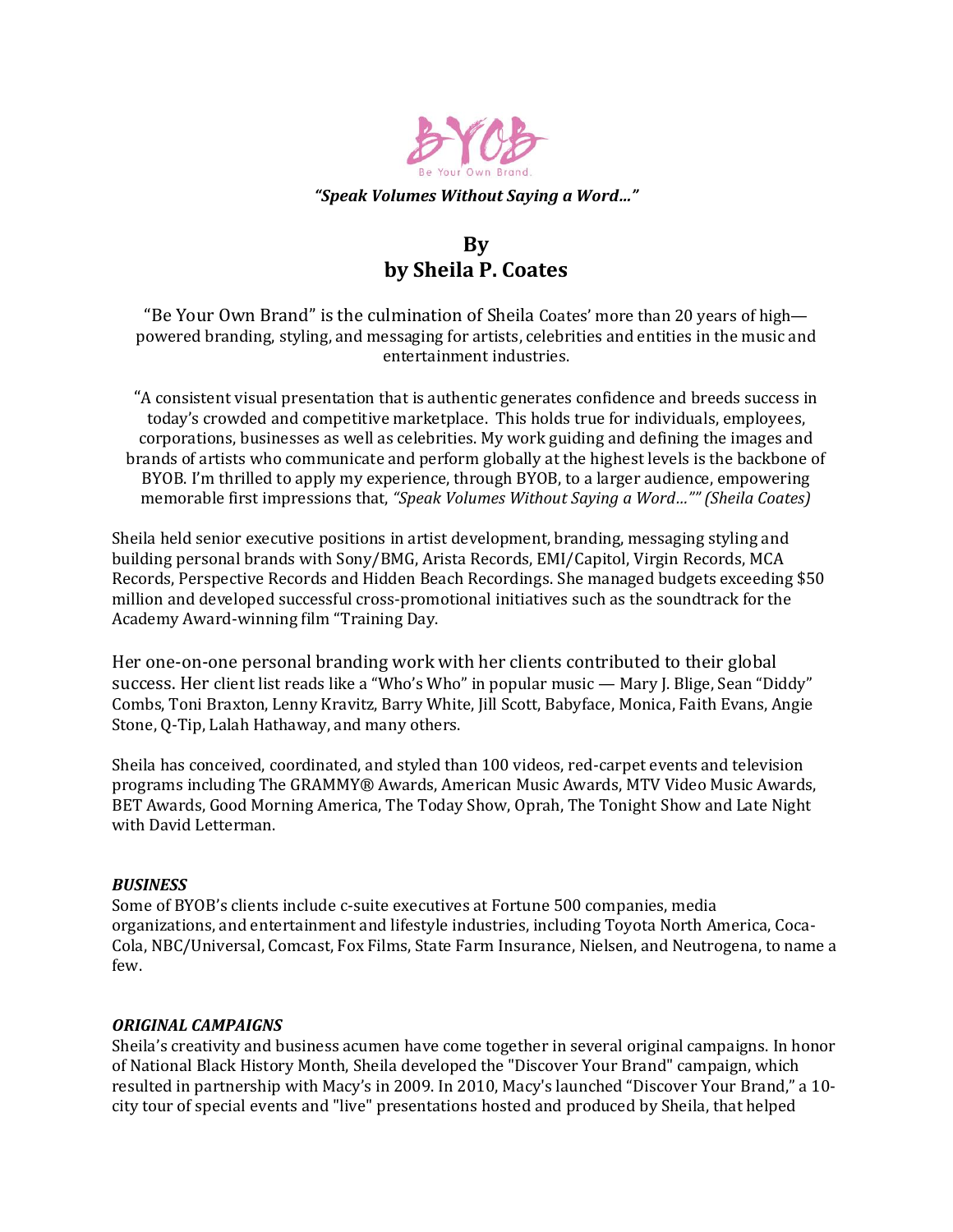

#### *"Speak Volumes Without Saying a Word…"*

# **By by Sheila P. Coates**

"Be Your Own Brand" is the culmination of Sheila Coates' more than 20 years of high powered branding, styling, and messaging for artists, celebrities and entities in the music and entertainment industries.

"A consistent visual presentation that is authentic generates confidence and breeds success in today's crowded and competitive marketplace. This holds true for individuals, employees, corporations, businesses as well as celebrities. My work guiding and defining the images and brands of artists who communicate and perform globally at the highest levels is the backbone of BYOB. I'm thrilled to apply my experience, through BYOB, to a larger audience, empowering memorable first impressions that, *"Speak Volumes Without Saying a Word…"" (Sheila Coates)*

Sheila held senior executive positions in artist development, branding, messaging styling and building personal brands with Sony/BMG, Arista Records, EMI/Capitol, Virgin Records, MCA Records, Perspective Records and Hidden Beach Recordings. She managed budgets exceeding \$50 million and developed successful cross-promotional initiatives such as the soundtrack for the Academy Award-winning film "Training Day.

Her one-on-one personal branding work with her clients contributed to their global success. Her client list reads like a "Who's Who" in popular music — Mary J. Blige, Sean "Diddy" Combs, Toni Braxton, Lenny Kravitz, Barry White, Jill Scott, Babyface, Monica, Faith Evans, Angie Stone, Q-Tip, Lalah Hathaway, and many others.

Sheila has conceived, coordinated, and styled than 100 videos, red-carpet events and television programs including The GRAMMY® Awards, American Music Awards, MTV Video Music Awards, BET Awards, Good Morning America, The Today Show, Oprah, The Tonight Show and Late Night with David Letterman.

## *BUSINESS*

Some of BYOB's clients include c-suite executives at Fortune 500 companies, media organizations, and entertainment and lifestyle industries, including Toyota North America, Coca-Cola, NBC/Universal, Comcast, Fox Films, State Farm Insurance, Nielsen, and Neutrogena, to name a few.

#### *ORIGINAL CAMPAIGNS*

Sheila's creativity and business acumen have come together in several original campaigns. In honor of National Black History Month, Sheila developed the "Discover Your Brand" campaign, which resulted in partnership with Macy's in 2009. In 2010, Macy's launched "Discover Your Brand," a 10 city tour of special events and "live" presentations hosted and produced by Sheila, that helped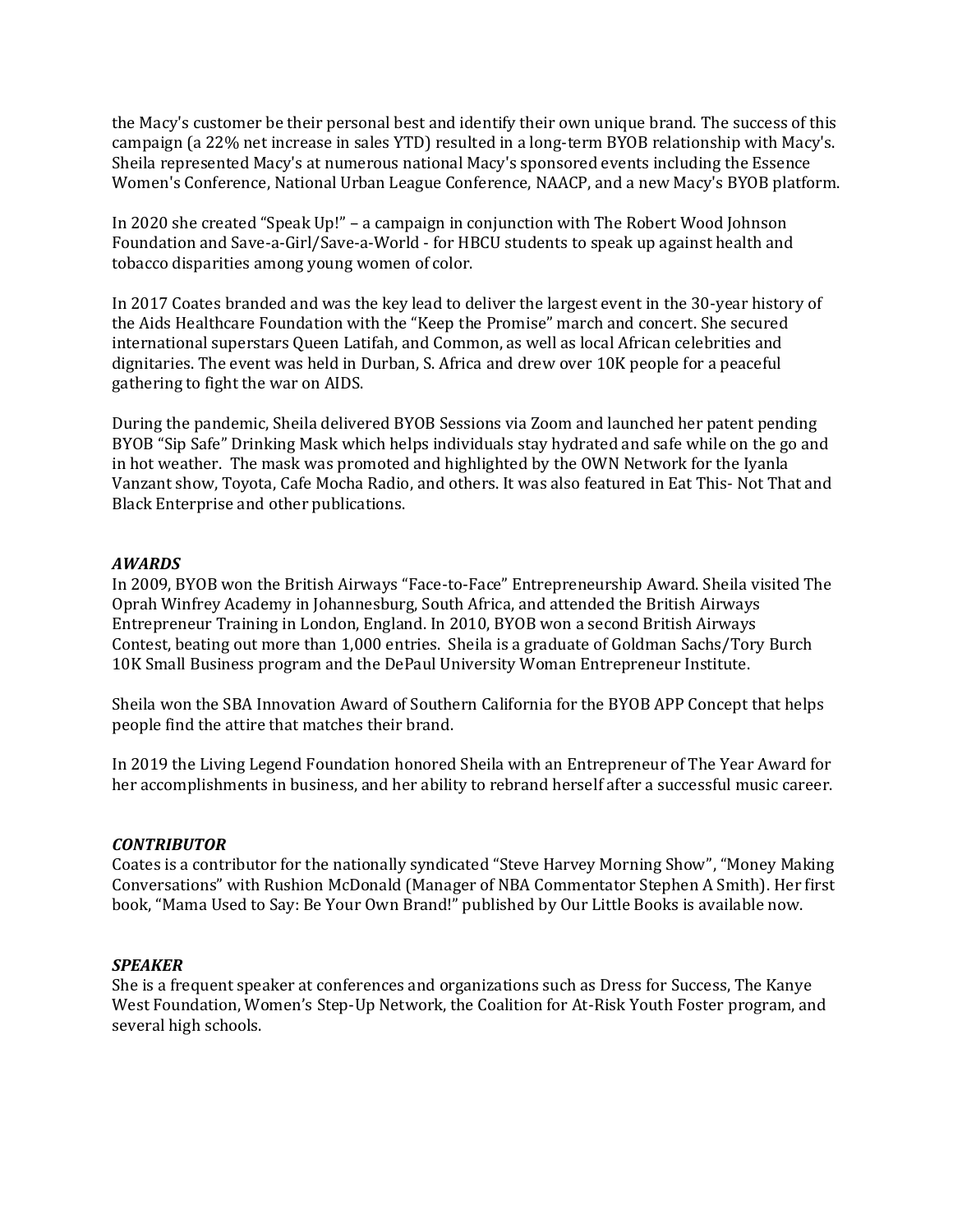the Macy's customer be their personal best and identify their own unique brand. The success of this campaign (a 22% net increase in sales YTD) resulted in a long-term BYOB relationship with Macy's. Sheila represented Macy's at numerous national Macy's sponsored events including the Essence Women's Conference, National Urban League Conference, NAACP, and a new Macy's BYOB platform.

In 2020 she created "Speak Up!" – a campaign in conjunction with The Robert Wood Johnson Foundation and Save-a-Girl/Save-a-World - for HBCU students to speak up against health and tobacco disparities among young women of color.

In 2017 Coates branded and was the key lead to deliver the largest event in the 30-year history of the Aids Healthcare Foundation with the "Keep the Promise" march and concert. She secured international superstars Queen Latifah, and Common, as well as local African celebrities and dignitaries. The event was held in Durban, S. Africa and drew over 10K people for a peaceful gathering to fight the war on AIDS.

During the pandemic, Sheila delivered BYOB Sessions via Zoom and launched her patent pending BYOB "Sip Safe" Drinking Mask which helps individuals stay hydrated and safe while on the go and in hot weather. The mask was promoted and highlighted by the OWN Network for the Iyanla Vanzant show, Toyota, Cafe Mocha Radio, and others. It was also featured in Eat This- Not That and Black Enterprise and other publications.

## *AWARDS*

In 2009, BYOB won the British Airways "Face-to-Face" Entrepreneurship Award. Sheila visited The Oprah Winfrey Academy in Johannesburg, South Africa, and attended the British Airways Entrepreneur Training in London, England. In 2010, BYOB won a second British Airways Contest, beating out more than 1,000 entries. Sheila is a graduate of Goldman Sachs/Tory Burch 10K Small Business program and the DePaul University Woman Entrepreneur Institute.

Sheila won the SBA Innovation Award of Southern California for the BYOB APP Concept that helps people find the attire that matches their brand.

In 2019 the Living Legend Foundation honored Sheila with an Entrepreneur of The Year Award for her accomplishments in business, and her ability to rebrand herself after a successful music career.

## *CONTRIBUTOR*

Coates is a contributor for the nationally syndicated "Steve Harvey Morning Show", "Money Making Conversations" with Rushion McDonald (Manager of NBA Commentator Stephen A Smith). Her first book, "Mama Used to Say: Be Your Own Brand!" published by Our Little Books is available now.

## *SPEAKER*

She is a frequent speaker at conferences and organizations such as Dress for Success, The Kanye West Foundation, Women's Step-Up Network, the Coalition for At-Risk Youth Foster program, and several high schools.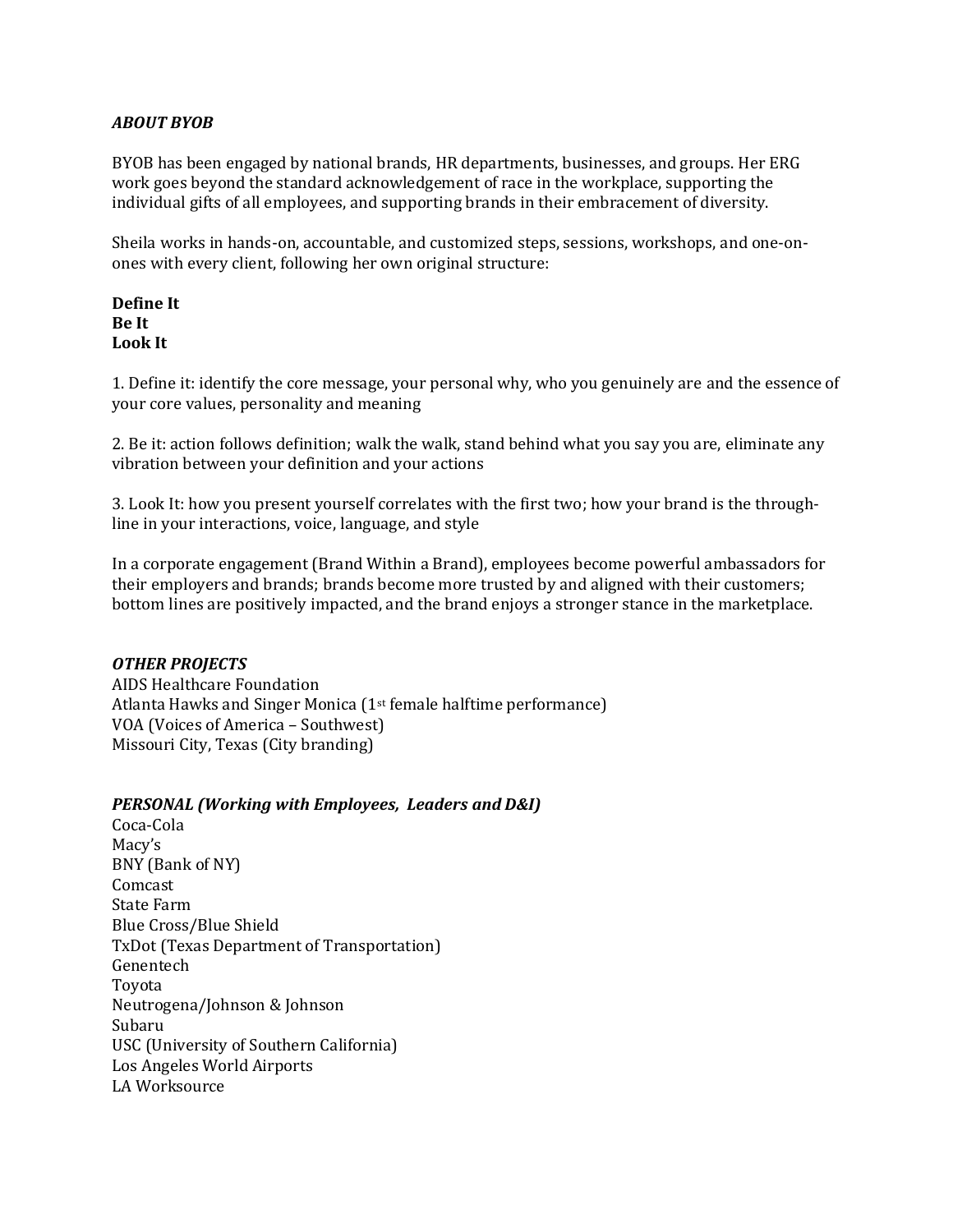# *ABOUT BYOB*

BYOB has been engaged by national brands, HR departments, businesses, and groups. Her ERG work goes beyond the standard acknowledgement of race in the workplace, supporting the individual gifts of all employees, and supporting brands in their embracement of diversity.

Sheila works in hands-on, accountable, and customized steps, sessions, workshops, and one-onones with every client, following her own original structure:

# **Define It Be It Look It**

1. Define it: identify the core message, your personal why, who you genuinely are and the essence of your core values, personality and meaning

2. Be it: action follows definition; walk the walk, stand behind what you say you are, eliminate any vibration between your definition and your actions

3. Look It: how you present yourself correlates with the first two; how your brand is the throughline in your interactions, voice, language, and style

In a corporate engagement (Brand Within a Brand), employees become powerful ambassadors for their employers and brands; brands become more trusted by and aligned with their customers; bottom lines are positively impacted, and the brand enjoys a stronger stance in the marketplace.

# *OTHER PROJECTS*

AIDS Healthcare Foundation Atlanta Hawks and Singer Monica (1st female halftime performance) VOA (Voices of America – Southwest) Missouri City, Texas (City branding)

## *PERSONAL (Working with Employees, Leaders and D&I)*

Coca-Cola Macy's BNY (Bank of NY) Comcast State Farm Blue Cross/Blue Shield TxDot (Texas Department of Transportation) Genentech Toyota Neutrogena/Johnson & Johnson Subaru USC (University of Southern California) Los Angeles World Airports LA Worksource